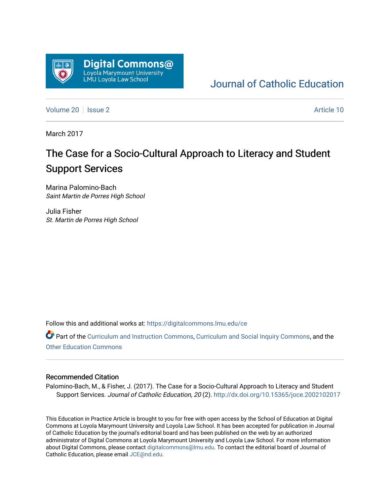

## [Journal of Catholic Education](https://digitalcommons.lmu.edu/ce)

[Volume 20](https://digitalcommons.lmu.edu/ce/vol20) | [Issue 2](https://digitalcommons.lmu.edu/ce/vol20/iss2) Article 10

March 2017

# The Case for a Socio-Cultural Approach to Literacy and Student Support Services

Marina Palomino-Bach Saint Martin de Porres High School

Julia Fisher St. Martin de Porres High School

Follow this and additional works at: [https://digitalcommons.lmu.edu/ce](https://digitalcommons.lmu.edu/ce?utm_source=digitalcommons.lmu.edu%2Fce%2Fvol20%2Fiss2%2F10&utm_medium=PDF&utm_campaign=PDFCoverPages)

Part of the [Curriculum and Instruction Commons,](https://network.bepress.com/hgg/discipline/786?utm_source=digitalcommons.lmu.edu%2Fce%2Fvol20%2Fiss2%2F10&utm_medium=PDF&utm_campaign=PDFCoverPages) [Curriculum and Social Inquiry Commons,](https://network.bepress.com/hgg/discipline/1038?utm_source=digitalcommons.lmu.edu%2Fce%2Fvol20%2Fiss2%2F10&utm_medium=PDF&utm_campaign=PDFCoverPages) and the [Other Education Commons](https://network.bepress.com/hgg/discipline/811?utm_source=digitalcommons.lmu.edu%2Fce%2Fvol20%2Fiss2%2F10&utm_medium=PDF&utm_campaign=PDFCoverPages) 

#### Recommended Citation

Palomino-Bach, M., & Fisher, J. (2017). The Case for a Socio-Cultural Approach to Literacy and Student Support Services. Journal of Catholic Education, 20 (2). <http://dx.doi.org/10.15365/joce.2002102017>

This Education in Practice Article is brought to you for free with open access by the School of Education at Digital Commons at Loyola Marymount University and Loyola Law School. It has been accepted for publication in Journal of Catholic Education by the journal's editorial board and has been published on the web by an authorized administrator of Digital Commons at Loyola Marymount University and Loyola Law School. For more information about Digital Commons, please contact [digitalcommons@lmu.edu](mailto:digitalcommons@lmu.edu). To contact the editorial board of Journal of Catholic Education, please email [JCE@nd.edu.](mailto:JCE@nd.edu)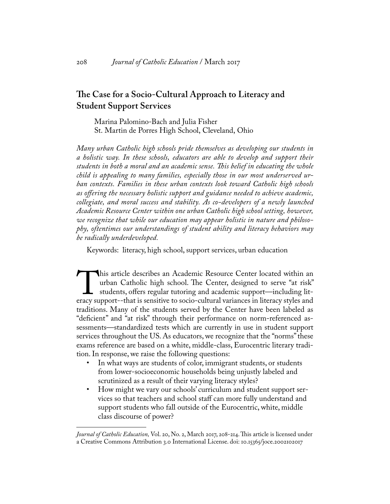### **The Case for a Socio-Cultural Approach to Literacy and Student Support Services**

Marina Palomino-Bach and Julia Fisher St. Martin de Porres High School, Cleveland, Ohio

*Many urban Catholic high schools pride themselves as developing our students in a holistic way. In these schools, educators are able to develop and support their students in both a moral and an academic sense. This belief in educating the whole child is appealing to many families, especially those in our most underserved urban contexts. Families in these urban contexts look toward Catholic high schools as offering the necessary holistic support and guidance needed to achieve academic, collegiate, and moral success and stability. As co-developers of a newly launched Academic Resource Center within one urban Catholic high school setting, however, we recognize that while our education may appear holistic in nature and philosophy, oftentimes our understandings of student ability and literacy behaviors may be radically underdeveloped.*

Keywords: literacy, high school, support services, urban education

This article describes an Academic Resource Center located within an urban Catholic high school. The Center, designed to serve "at risk" students, offers regular tutoring and academic support—including literacy support--th urban Catholic high school. The Center, designed to serve "at risk" students, offers regular tutoring and academic support—including literacy support--that is sensitive to socio-cultural variances in literacy styles and traditions. Many of the students served by the Center have been labeled as "deficient" and "at risk" through their performance on norm-referenced assessments—standardized tests which are currently in use in student support services throughout the US. As educators, we recognize that the "norms" these exams reference are based on a white, middle-class, Eurocentric literary tradition. In response, we raise the following questions:

- In what ways are students of color, immigrant students, or students from lower-socioeconomic households being unjustly labeled and scrutinized as a result of their varying literacy styles?
- How might we vary our schools' curriculum and student support services so that teachers and school staff can more fully understand and support students who fall outside of the Eurocentric, white, middle class discourse of power?

*Journal of Catholic Education,* Vol. 20, No. 2, March 2017, 208-214. This article is licensed under a Creative Commons Attribution 3.0 International License. doi: 10.15365/joce.2002102017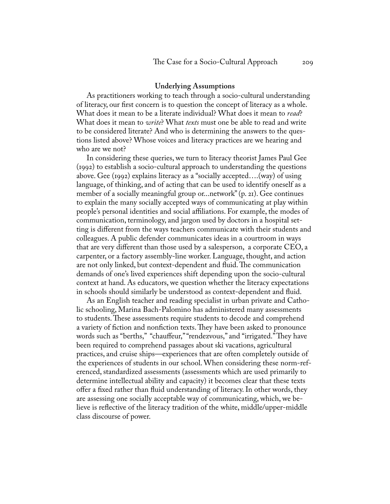#### **Underlying Assumptions**

As practitioners working to teach through a socio-cultural understanding of literacy, our first concern is to question the concept of literacy as a whole. What does it mean to be a literate individual? What does it mean to *read*? What does it mean to *write*? What *texts* must one be able to read and write to be considered literate? And who is determining the answers to the questions listed above? Whose voices and literacy practices are we hearing and who are we not?

In considering these queries, we turn to literacy theorist James Paul Gee (1992) to establish a socio-cultural approach to understanding the questions above. Gee (1992) explains literacy as a "socially accepted….(way) of using language, of thinking, and of acting that can be used to identify oneself as a member of a socially meaningful group or...network" (p. 21). Gee continues to explain the many socially accepted ways of communicating at play within people's personal identities and social affiliations. For example, the modes of communication, terminology, and jargon used by doctors in a hospital setting is different from the ways teachers communicate with their students and colleagues. A public defender communicates ideas in a courtroom in ways that are very different than those used by a salesperson, a corporate CEO, a carpenter, or a factory assembly-line worker. Language, thought, and action are not only linked, but context-dependent and fluid. The communication demands of one's lived experiences shift depending upon the socio-cultural context at hand. As educators, we question whether the literacy expectations in schools should similarly be understood as context-dependent and fluid.

As an English teacher and reading specialist in urban private and Catholic schooling, Marina Bach-Palomino has administered many assessments to students. These assessments require students to decode and comprehend a variety of fiction and nonfiction texts. They have been asked to pronounce words such as "berths," "chauffeur," "rendezvous," and "irrigated." They have been required to comprehend passages about ski vacations, agricultural practices, and cruise ships—experiences that are often completely outside of the experiences of students in our school. When considering these norm-referenced, standardized assessments (assessments which are used primarily to determine intellectual ability and capacity) it becomes clear that these texts offer a fixed rather than fluid understanding of literacy. In other words, they are assessing one socially acceptable way of communicating, which, we believe is reflective of the literacy tradition of the white, middle/upper-middle class discourse of power.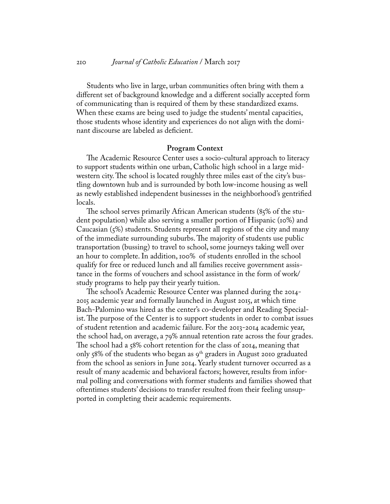Students who live in large, urban communities often bring with them a different set of background knowledge and a different socially accepted form of communicating than is required of them by these standardized exams. When these exams are being used to judge the students' mental capacities, those students whose identity and experiences do not align with the dominant discourse are labeled as deficient.

#### **Program Context**

The Academic Resource Center uses a socio-cultural approach to literacy to support students within one urban, Catholic high school in a large midwestern city. The school is located roughly three miles east of the city's bustling downtown hub and is surrounded by both low-income housing as well as newly established independent businesses in the neighborhood's gentrified locals.

The school serves primarily African American students (85% of the student population) while also serving a smaller portion of Hispanic (10%) and Caucasian (5%) students. Students represent all regions of the city and many of the immediate surrounding suburbs. The majority of students use public transportation (bussing) to travel to school, some journeys taking well over an hour to complete. In addition, 100% of students enrolled in the school qualify for free or reduced lunch and all families receive government assistance in the forms of vouchers and school assistance in the form of work/ study programs to help pay their yearly tuition.

The school's Academic Resource Center was planned during the 2014- 2015 academic year and formally launched in August 2015, at which time Bach-Palomino was hired as the center's co-developer and Reading Specialist. The purpose of the Center is to support students in order to combat issues of student retention and academic failure. For the 2013-2014 academic year, the school had, on average, a 79% annual retention rate across the four grades. The school had a 58% cohort retention for the class of 2014, meaning that only 58% of the students who began as  $9<sup>th</sup>$  graders in August 2010 graduated from the school as seniors in June 2014. Yearly student turnover occurred as a result of many academic and behavioral factors; however, results from informal polling and conversations with former students and families showed that oftentimes students' decisions to transfer resulted from their feeling unsupported in completing their academic requirements.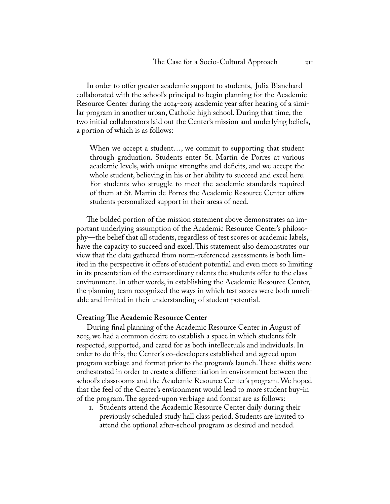In order to offer greater academic support to students, Julia Blanchard collaborated with the school's principal to begin planning for the Academic Resource Center during the 2014-2015 academic year after hearing of a similar program in another urban, Catholic high school. During that time, the two initial collaborators laid out the Center's mission and underlying beliefs, a portion of which is as follows:

When we accept a student…, we commit to supporting that student through graduation. Students enter St. Martin de Porres at various academic levels, with unique strengths and deficits, and we accept the whole student, believing in his or her ability to succeed and excel here. For students who struggle to meet the academic standards required of them at St. Martin de Porres the Academic Resource Center offers students personalized support in their areas of need.

The bolded portion of the mission statement above demonstrates an important underlying assumption of the Academic Resource Center's philosophy—the belief that all students, regardless of test scores or academic labels, have the capacity to succeed and excel. This statement also demonstrates our view that the data gathered from norm-referenced assessments is both limited in the perspective it offers of student potential and even more so limiting in its presentation of the extraordinary talents the students offer to the class environment. In other words, in establishing the Academic Resource Center, the planning team recognized the ways in which test scores were both unreliable and limited in their understanding of student potential.

#### **Creating The Academic Resource Center**

During final planning of the Academic Resource Center in August of 2015, we had a common desire to establish a space in which students felt respected, supported, and cared for as both intellectuals and individuals. In order to do this, the Center's co-developers established and agreed upon program verbiage and format prior to the program's launch. These shifts were orchestrated in order to create a differentiation in environment between the school's classrooms and the Academic Resource Center's program. We hoped that the feel of the Center's environment would lead to more student buy-in of the program. The agreed-upon verbiage and format are as follows:

1. Students attend the Academic Resource Center daily during their previously scheduled study hall class period. Students are invited to attend the optional after-school program as desired and needed.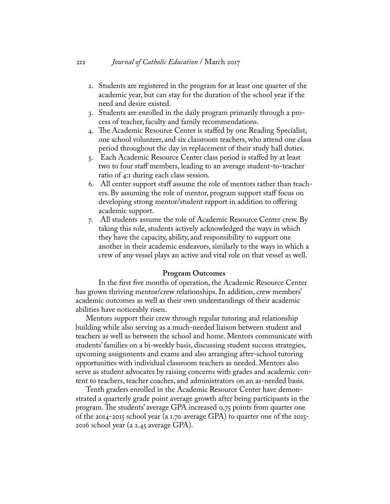- 2. Students are registered in the program for at least one quarter of the academic year, but can stay for the duration of the school year if the need and desire existed.
- 3. Students are enrolled in the daily program primarily through a process of teacher, faculty and family recommendations.
- 4. The Academic Resource Center is staffed by one Reading Specialist, one school volunteer, and six classroom teachers, who attend one class period throughout the day in replacement of their study hall duties.
- 5. Each Academic Resource Center class period is staffed by at least two to four staff members, leading to an average student-to-teacher ratio of 4:1 during each class session.
- 6. All center support staff assume the role of mentors rather than teachers. By assuming the role of mentor, program support staff focus on developing strong mentor/student rapport in addition to offering academic support.
- 7. All students assume the role of Academic Resource Center crew. By taking this role, students actively acknowledged the ways in which they have the capacity, ability, and responsibility to support one another in their academic endeavors, similarly to the ways in which a crew of any vessel plays an active and vital role on that vessel as well.

#### **Program Outcomes**

In the first five months of operation, the Academic Resource Center has grown thriving mentor/crew relationships. In addition, crew members' academic outcomes as well as their own understandings of their academic abilities have noticeably risen.

Mentors support their crew through regular tutoring and relationship building while also serving as a much-needed liaison between student and teachers as well as between the school and home. Mentors communicate with students' families on a bi-weekly basis, discussing student success strategies, upcoming assignments and exams and also arranging after-school tutoring opportunities with individual classroom teachers as needed. Mentors also serve as student advocates by raising concerns with grades and academic content to teachers, teacher coaches, and administrators on an as-needed basis.

Tenth graders enrolled in the Academic Resource Center have demonstrated a quarterly grade point average growth after being participants in the program. The students' average GPA increased 0.75 points from quarter one of the 2014-2015 school year (a 1.70 average GPA) to quarter one of the 2015- 2016 school year (a 2.45 average GPA).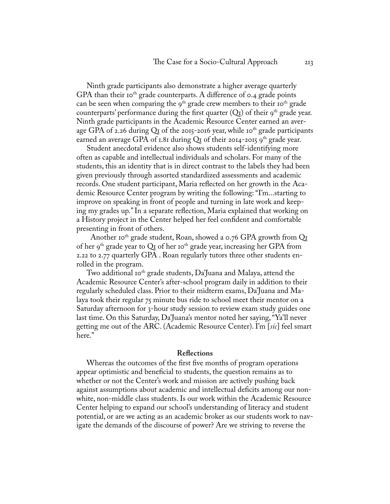Ninth grade participants also demonstrate a higher average quarterly GPA than their 10<sup>th</sup> grade counterparts. A difference of 0.4 grade points can be seen when comparing the  $9<sup>th</sup>$  grade crew members to their  $10<sup>th</sup>$  grade counterparts' performance during the first quarter  $(Q_I)$  of their  $g<sup>th</sup>$  grade year. Ninth grade participants in the Academic Resource Center earned an average GPA of 2.26 during  $QI$  of the 2015-2016 year, while 10<sup>th</sup> grade participants earned an average GPA of 1.81 during  $Q_{I}$  of their 2014-2015 9<sup>th</sup> grade year.

Student anecdotal evidence also shows students self-identifying more often as capable and intellectual individuals and scholars. For many of the students, this an identity that is in direct contrast to the labels they had been given previously through assorted standardized assessments and academic records. One student participant, Maria reflected on her growth in the Academic Resource Center program by writing the following: "I'm...starting to improve on speaking in front of people and turning in late work and keeping my grades up." In a separate reflection, Maria explained that working on a History project in the Center helped her feel confident and comfortable presenting in front of others.

Another 10<sup>th</sup> grade student, Roan, showed a 0.76 GPA growth from  $Q<sub>I</sub>$ of her 9<sup>th</sup> grade year to  $\mathbb{Q}_I$  of her 10<sup>th</sup> grade year, increasing her GPA from 2.22 to 2.77 quarterly GPA . Roan regularly tutors three other students enrolled in the program.

Two additional 10<sup>th</sup> grade students,  $Da$ Juana and Malaya, attend the Academic Resource Center's after-school program daily in addition to their regularly scheduled class. Prior to their midterm exams, Da'Juana and Malaya took their regular 75 minute bus ride to school meet their mentor on a Saturday afternoon for 3-hour study session to review exam study guides one last time. On this Saturday, Da'Juana's mentor noted her saying, "Ya'll never getting me out of the ARC. (Academic Resource Center). I'm [*sic*] feel smart here."

#### **Reflections**

Whereas the outcomes of the first five months of program operations appear optimistic and beneficial to students, the question remains as to whether or not the Center's work and mission are actively pushing back against assumptions about academic and intellectual deficits among our nonwhite, non-middle class students. Is our work within the Academic Resource Center helping to expand our school's understanding of literacy and student potential, or are we acting as an academic broker as our students work to navigate the demands of the discourse of power? Are we striving to reverse the